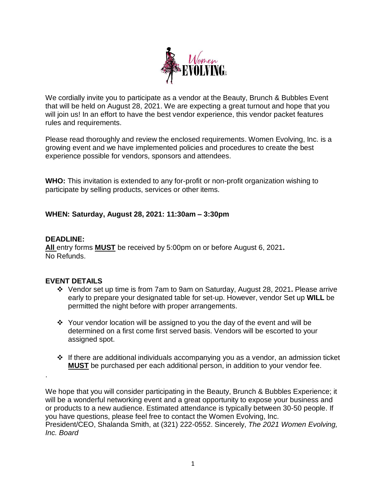

We cordially invite you to participate as a vendor at the Beauty, Brunch & Bubbles Event that will be held on August 28, 2021. We are expecting a great turnout and hope that you will join us! In an effort to have the best vendor experience, this vendor packet features rules and requirements.

Please read thoroughly and review the enclosed requirements. Women Evolving, Inc. is a growing event and we have implemented policies and procedures to create the best experience possible for vendors, sponsors and attendees.

**WHO:** This invitation is extended to any for-profit or non-profit organization wishing to participate by selling products, services or other items.

### **WHEN: Saturday, August 28, 2021: 11:30am – 3:30pm**

### **DEADLINE:**

.

**All** entry forms **MUST** be received by 5:00pm on or before August 6, 2021**.**  No Refunds.

### **EVENT DETAILS**

- Vendor set up time is from 7am to 9am on Saturday, August 28, 2021**.** Please arrive early to prepare your designated table for set-up. However, vendor Set up **WILL** be permitted the night before with proper arrangements.
- Your vendor location will be assigned to you the day of the event and will be determined on a first come first served basis. Vendors will be escorted to your assigned spot.
- $\cdot \cdot$  If there are additional individuals accompanying you as a vendor, an admission ticket **MUST** be purchased per each additional person, in addition to your vendor fee.

We hope that you will consider participating in the Beauty, Brunch & Bubbles Experience; it will be a wonderful networking event and a great opportunity to expose your business and or products to a new audience. Estimated attendance is typically between 30-50 people. If you have questions, please feel free to contact the Women Evolving, Inc. President/CEO, Shalanda Smith, at (321) 222-0552. Sincerely, *The 2021 Women Evolving, Inc. Board*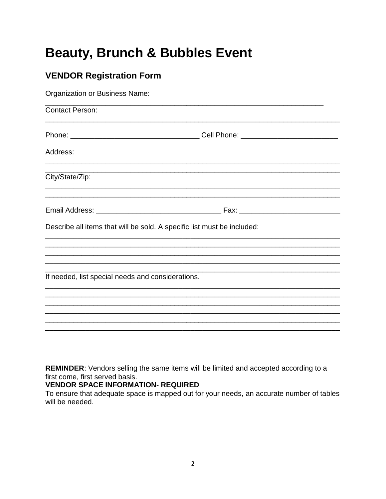# **Beauty, Brunch & Bubbles Event**

# **VENDOR Registration Form**

| Organization or Business Name:                                          |  |  |
|-------------------------------------------------------------------------|--|--|
| <b>Contact Person:</b>                                                  |  |  |
|                                                                         |  |  |
| Address:                                                                |  |  |
| City/State/Zip:                                                         |  |  |
|                                                                         |  |  |
| Describe all items that will be sold. A specific list must be included: |  |  |
|                                                                         |  |  |
|                                                                         |  |  |
|                                                                         |  |  |
| If needed, list special needs and considerations.                       |  |  |
|                                                                         |  |  |
|                                                                         |  |  |
|                                                                         |  |  |
|                                                                         |  |  |
|                                                                         |  |  |

REMINDER: Vendors selling the same items will be limited and accepted according to a first come, first served basis.

### **VENDOR SPACE INFORMATION- REQUIRED**

To ensure that adequate space is mapped out for your needs, an accurate number of tables will be needed.